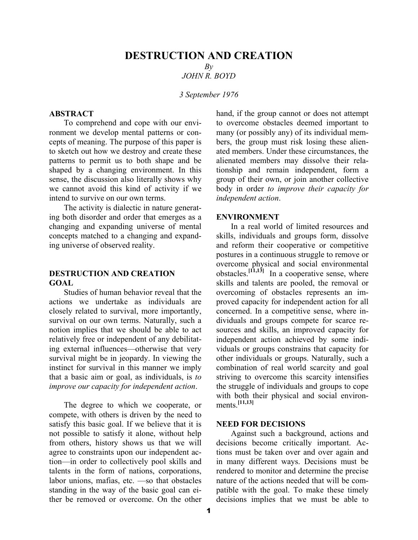## **DESTRUCTION AND CREATION**

 $Bv$ 

*JOHN R. BOYD* 

*3 September 1976* 

#### **ABSTRACT**

To comprehend and cope with our environment we develop mental patterns or concepts of meaning. The purpose of this paper is to sketch out how we destroy and create these patterns to permit us to both shape and be shaped by a changing environment. In this sense, the discussion also literally shows why we cannot avoid this kind of activity if we intend to survive on our own terms.

The activity is dialectic in nature generating both disorder and order that emerges as a changing and expanding universe of mental concepts matched to a changing and expanding universe of observed reality.

## **DESTRUCTION AND CREATION GOAL**

Studies of human behavior reveal that the actions we undertake as individuals are closely related to survival, more importantly, survival on our own terms. Naturally, such a notion implies that we should be able to act relatively free or independent of any debilitating external influences—otherwise that very survival might be in jeopardy. In viewing the instinct for survival in this manner we imply that a basic aim or goal, as individuals, is *to improve our capacity for independent action*.

The degree to which we cooperate, or compete, with others is driven by the need to satisfy this basic goal. If we believe that it is not possible to satisfy it alone, without help from others, history shows us that we will agree to constraints upon our independent action—in order to collectively pool skills and talents in the form of nations, corporations, labor unions, mafias, etc. —so that obstacles standing in the way of the basic goal can either be removed or overcome. On the other

hand, if the group cannot or does not attempt to overcome obstacles deemed important to many (or possibly any) of its individual members, the group must risk losing these alienated members. Under these circumstances, the alienated members may dissolve their relationship and remain independent, form a group of their own, or join another collective body in order *to improve their capacity for independent action*.

#### **ENVIRONMENT**

In a real world of limited resources and skills, individuals and groups form, dissolve and reform their cooperative or competitive postures in a continuous struggle to remove or overcome physical and social environmental obstacles.**[11,13]** In a cooperative sense, where skills and talents are pooled, the removal or overcoming of obstacles represents an improved capacity for independent action for all concerned. In a competitive sense, where individuals and groups compete for scarce resources and skills, an improved capacity for independent action achieved by some individuals or groups constrains that capacity for other individuals or groups. Naturally, such a combination of real world scarcity and goal striving to overcome this scarcity intensifies the struggle of individuals and groups to cope with both their physical and social environments.**[11,13]**

#### **NEED FOR DECISIONS**

Against such a background, actions and decisions become critically important. Actions must be taken over and over again and in many different ways. Decisions must be rendered to monitor and determine the precise nature of the actions needed that will be compatible with the goal. To make these timely decisions implies that we must be able to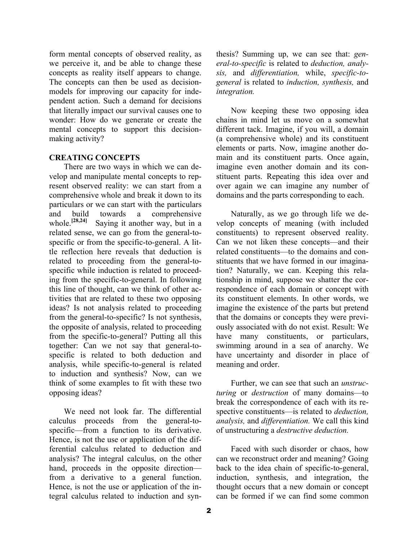form mental concepts of observed reality, as we perceive it, and be able to change these concepts as reality itself appears to change. The concepts can then be used as decisionmodels for improving our capacity for independent action. Such a demand for decisions that literally impact our survival causes one to wonder: How do we generate or create the mental concepts to support this decisionmaking activity?

## **CREATING CONCEPTS**

There are two ways in which we can develop and manipulate mental concepts to represent observed reality: we can start from a comprehensive whole and break it down to its particulars or we can start with the particulars and build towards a comprehensive<br>whole  $^{[28,24]}$  Saving it another way but in a Saying it another way, but in a related sense, we can go from the general-tospecific or from the specific-to-general. A little reflection here reveals that deduction is related to proceeding from the general-tospecific while induction is related to proceeding from the specific-to-general. In following this line of thought, can we think of other activities that are related to these two opposing ideas? Is not analysis related to proceeding from the general-to-specific? Is not synthesis, the opposite of analysis, related to proceeding from the specific-to-general? Putting all this together: Can we not say that general-tospecific is related to both deduction and analysis, while specific-to-general is related to induction and synthesis? Now, can we think of some examples to fit with these two opposing ideas?

We need not look far. The differential calculus proceeds from the general-tospecific—from a function to its derivative. Hence, is not the use or application of the differential calculus related to deduction and analysis? The integral calculus, on the other hand, proceeds in the opposite direction from a derivative to a general function. Hence, is not the use or application of the integral calculus related to induction and synthesis? Summing up, we can see that: *general-to-specific* is related to *deduction, analysis,* and *differentiation,* while, *specific-togeneral* is related to *induction, synthesis,* and *integration.*

Now keeping these two opposing idea chains in mind let us move on a somewhat different tack. Imagine, if you will, a domain (a comprehensive whole) and its constituent elements or parts. Now, imagine another domain and its constituent parts. Once again, imagine even another domain and its constituent parts. Repeating this idea over and over again we can imagine any number of domains and the parts corresponding to each.

Naturally, as we go through life we develop concepts of meaning (with included constituents) to represent observed reality. Can we not liken these concepts—and their related constituents—to the domains and constituents that we have formed in our imagination? Naturally, we can. Keeping this relationship in mind, suppose we shatter the correspondence of each domain or concept with its constituent elements. In other words, we imagine the existence of the parts but pretend that the domains or concepts they were previously associated with do not exist. Result: We have many constituents, or particulars, swimming around in a sea of anarchy. We have uncertainty and disorder in place of meaning and order.

Further, we can see that such an *unstructuring* or *destruction* of many domains—to break the correspondence of each with its respective constituents—is related to *deduction, analysis,* and *differentiation.* We call this kind of unstructuring a *destructive deduction.*

Faced with such disorder or chaos, how can we reconstruct order and meaning? Going back to the idea chain of specific-to-general, induction, synthesis, and integration, the thought occurs that a new domain or concept can be formed if we can find some common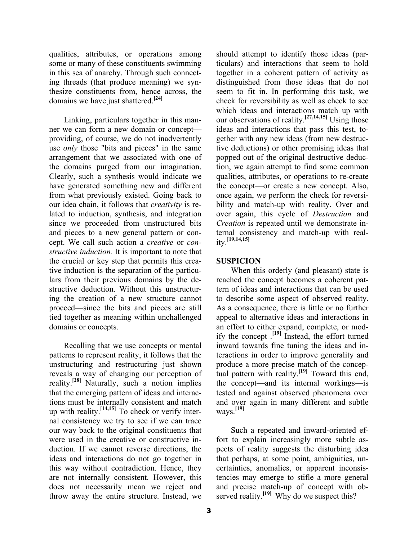qualities, attributes, or operations among some or many of these constituents swimming in this sea of anarchy. Through such connecting threads (that produce meaning) we synthesize constituents from, hence across, the domains we have just shattered.**[24]** 

Linking, particulars together in this manner we can form a new domain or concept providing, of course, we do not inadvertently use *only* those "bits and pieces" in the same arrangement that we associated with one of the domains purged from our imagination. Clearly, such a synthesis would indicate we have generated something new and different from what previously existed. Going back to our idea chain, it follows that *creativity* is related to induction, synthesis, and integration since we proceeded from unstructured bits and pieces to a new general pattern or concept. We call such action a *creative* or *constructive induction.* It is important to note that the crucial or key step that permits this creative induction is the separation of the particulars from their previous domains by the destructive deduction. Without this unstructuring the creation of a new structure cannot proceed—since the bits and pieces are still tied together as meaning within unchallenged domains or concepts.

Recalling that we use concepts or mental patterns to represent reality, it follows that the unstructuring and restructuring just shown reveals a way of changing our perception of reality.**[28]** Naturally, such a notion implies that the emerging pattern of ideas and interactions must be internally consistent and match up with reality.**[14,15]** To check or verify internal consistency we try to see if we can trace our way back to the original constituents that were used in the creative or constructive induction. If we cannot reverse directions, the ideas and interactions do not go together in this way without contradiction. Hence, they are not internally consistent. However, this does not necessarily mean we reject and throw away the entire structure. Instead, we

should attempt to identify those ideas (particulars) and interactions that seem to hold together in a coherent pattern of activity as distinguished from those ideas that do not seem to fit in. In performing this task, we check for reversibility as well as check to see which ideas and interactions match up with our observations of reality.**[27,14,15]** Using those ideas and interactions that pass this test, together with any new ideas (from new destructive deductions) or other promising ideas that popped out of the original destructive deduction, we again attempt to find some common qualities, attributes, or operations to re-create the concept—or create a new concept. Also, once again, we perform the check for reversibility and match-up with reality. Over and over again, this cycle of *Destruction* and *Creation* is repeated until we demonstrate internal consistency and match-up with reality.**[19,14,15]** 

## **SUSPICION**

When this orderly (and pleasant) state is reached the concept becomes a coherent pattern of ideas and interactions that can be used to describe some aspect of observed reality. As a consequence, there is little or no further appeal to alternative ideas and interactions in an effort to either expand, complete, or modify the concept .**[19]** Instead, the effort turned inward towards fine tuning the ideas and interactions in order to improve generality and produce a more precise match of the conceptual pattern with reality.**[19]** Toward this end, the concept—and its internal workings—is tested and against observed phenomena over and over again in many different and subtle ways.**[19]**

Such a repeated and inward-oriented effort to explain increasingly more subtle aspects of reality suggests the disturbing idea that perhaps, at some point, ambiguities, uncertainties, anomalies, or apparent inconsistencies may emerge to stifle a more general and precise match-up of concept with observed reality.**[19]** Why do we suspect this?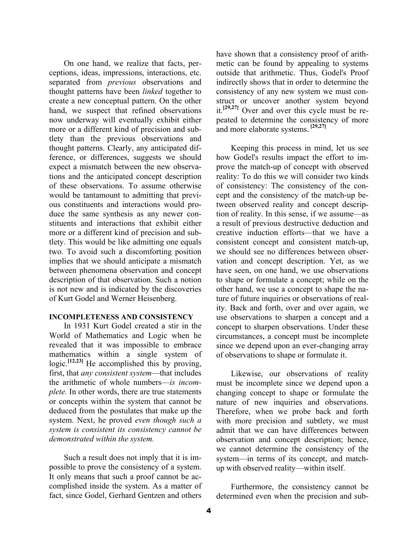On one hand, we realize that facts, perceptions, ideas, impressions, interactions, etc. separated from *previous* observations and thought patterns have been *linked* together to create a new conceptual pattern. On the other hand, we suspect that refined observations now underway will eventually exhibit either more or a different kind of precision and subtlety than the previous observations and thought patterns. Clearly, any anticipated difference, or differences, suggests we should expect a mismatch between the new observations and the anticipated concept description of these observations. To assume otherwise would be tantamount to admitting that previous constituents and interactions would produce the same synthesis as any newer constituents and interactions that exhibit either more or a different kind of precision and subtlety. This would be like admitting one equals two. To avoid such a discomforting position implies that we should anticipate a mismatch between phenomena observation and concept description of that observation. Such a notion is not new and is indicated by the discoveries of Kurt Godel and Werner Heisenberg.

#### **INCOMPLETENESS AND CONSISTENCY**

In 1931 Kurt Godel created a stir in the World of Mathematics and Logic when he revealed that it was impossible to embrace mathematics within a single system of logic.**[12,23]** He accomplished this by proving, first, that *any consistent system*—that includes the arithmetic of whole numbers—*is incomplete.* In other words, there are true statements or concepts within the system that cannot be deduced from the postulates that make up the system. Next, he proved *even though such a system is consistent its consistency cannot be demonstrated within the system.*

Such a result does not imply that it is impossible to prove the consistency of a system. It only means that such a proof cannot be accomplished inside the system. As a matter of fact, since Godel, Gerhard Gentzen and others

have shown that a consistency proof of arithmetic can be found by appealing to systems outside that arithmetic. Thus, Godel's Proof indirectly shows that in order to determine the consistency of any new system we must construct or uncover another system beyond it.**[29,27]** Over and over this cycle must be repeated to determine the consistency of more and more elaborate systems. **[29,27]**

Keeping this process in mind, let us see how Godel's results impact the effort to improve the match-up of concept with observed reality: To do this we will consider two kinds of consistency: The consistency of the concept and the consistency of the match-up between observed reality and concept description of reality. In this sense, if we assume—as a result of previous destructive deduction and creative induction efforts—that we have a consistent concept and consistent match-up, we should see no differences between observation and concept description. Yet, as we have seen, on one hand, we use observations to shape or formulate a concept; while on the other hand, we use a concept to shape the nature of future inquiries or observations of reality. Back and forth, over and over again, we use observations to sharpen a concept and a concept to sharpen observations. Under these circumstances, a concept must be incomplete since we depend upon an ever-changing array of observations to shape or formulate it.

Likewise, our observations of reality must be incomplete since we depend upon a changing concept to shape or formulate the nature of new inquiries and observations. Therefore, when we probe back and forth with more precision and subtlety, we must admit that we can have differences between observation and concept description; hence, we cannot determine the consistency of the system—in terms of its concept, and matchup with observed reality—within itself.

Furthermore, the consistency cannot be determined even when the precision and sub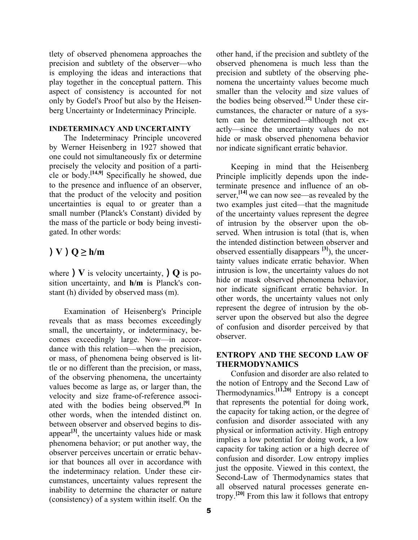tlety of observed phenomena approaches the precision and subtlety of the observer—who is employing the ideas and interactions that play together in the conceptual pattern. This aspect of consistency is accounted for not only by Godel's Proof but also by the Heisenberg Uncertainty or Indeterminacy Principle.

## **INDETERMINACY AND UNCERTAINTY**

The Indeterminacy Principle uncovered by Werner Heisenberg in 1927 showed that one could not simultaneously fix or determine precisely the velocity and position of a particle or body.**[14,9]** Specifically he showed, due to the presence and influence of an observer, that the product of the velocity and position uncertainties is equal to or greater than a small number (Planck's Constant) divided by the mass of the particle or body being investigated. In other words:

# )**V** )**Q ≥ h/m**

where  $\mathbf{V}$  is velocity uncertainty,  $\mathbf{Q}$  is position uncertainty, and **h/m** is Planck's constant (h) divided by observed mass (m).

Examination of Heisenberg's Principle reveals that as mass becomes exceedingly small, the uncertainty, or indeterminacy, becomes exceedingly large. Now—in accordance with this relation—when the precision, or mass, of phenomena being observed is little or no different than the precision, or mass, of the observing phenomena, the uncertainty values become as large as, or larger than, the velocity and size frame-of-reference associated with the bodies being observed.**[9]** In other words, when the intended distinct on. between observer and observed begins to disappear**[3]**, the uncertainty values hide or mask phenomena behavior; or put another way, the observer perceives uncertain or erratic behavior that bounces all over in accordance with the indeterminacy relation. Under these circumstances, uncertainty values represent the inability to determine the character or nature (consistency) of a system within itself. On the

other hand, if the precision and subtlety of the observed phenomena is much less than the precision and subtlety of the observing phenomena the uncertainty values become much smaller than the velocity and size values of the bodies being observed.**[2]** Under these circumstances, the character or nature of a system can be determined—although not exactly—since the uncertainty values do not hide or mask observed phenomena behavior nor indicate significant erratic behavior.

Keeping in mind that the Heisenberg Principle implicitly depends upon the indeterminate presence and influence of an observer,**[14]** we can now see—as revealed by the two examples just cited—that the magnitude of the uncertainty values represent the degree of intrusion by the observer upon the observed. When intrusion is total (that is, when the intended distinction between observer and observed essentially disappears **[3]**), the uncertainty values indicate erratic behavior. When intrusion is low, the uncertainty values do not hide or mask observed phenomena behavior, nor indicate significant erratic behavior. In other words, the uncertainty values not only represent the degree of intrusion by the observer upon the observed but also the degree of confusion and disorder perceived by that observer.

## **ENTROPY AND THE SECOND LAW OF THERMODYNAMICS**

Confusion and disorder are also related to the notion of Entropy and the Second Law of Thermodynamics.**[11,20]** Entropy is a concept that represents the potential for doing work, the capacity for taking action, or the degree of confusion and disorder associated with any physical or information activity. High entropy implies a low potential for doing work, a low capacity for taking action or a high decree of confusion and disorder. Low entropy implies just the opposite. Viewed in this context, the Second-Law of Thermodynamics states that all observed natural processes generate entropy.**[20]** From this law it follows that entropy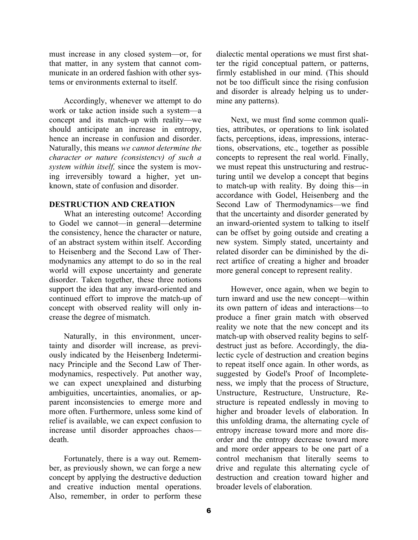must increase in any closed system—or, for that matter, in any system that cannot communicate in an ordered fashion with other systems or environments external to itself.

Accordingly, whenever we attempt to do work or take action inside such a system—a concept and its match-up with reality—we should anticipate an increase in entropy, hence an increase in confusion and disorder. Naturally, this means *we cannot determine the character or nature (consistencv) of such a system within itself,* since the system is moving irreversibly toward a higher, yet unknown, state of confusion and disorder.

## **DESTRUCTION AND CREATION**

What an interesting outcome! According to Godel we cannot—in general—determine the consistency, hence the character or nature, of an abstract system within itself. According to Heisenberg and the Second Law of Thermodynamics any attempt to do so in the real world will expose uncertainty and generate disorder. Taken together, these three notions support the idea that any inward-oriented and continued effort to improve the match-up of concept with observed reality will only increase the degree of mismatch.

Naturally, in this environment, uncertainty and disorder will increase, as previously indicated by the Heisenberg Indeterminacy Principle and the Second Law of Thermodynamics, respectively. Put another way, we can expect unexplained and disturbing ambiguities, uncertainties, anomalies, or apparent inconsistencies to emerge more and more often. Furthermore, unless some kind of relief is available, we can expect confusion to increase until disorder approaches chaos death.

Fortunately, there is a way out. Remember, as previously shown, we can forge a new concept by applying the destructive deduction and creative induction mental operations. Also, remember, in order to perform these dialectic mental operations we must first shatter the rigid conceptual pattern, or patterns, firmly established in our mind. (This should not be too difficult since the rising confusion and disorder is already helping us to undermine any patterns).

Next, we must find some common qualities, attributes, or operations to link isolated facts, perceptions, ideas, impressions, interactions, observations, etc., together as possible concepts to represent the real world. Finally, we must repeat this unstructuring and restructuring until we develop a concept that begins to match-up with reality. By doing this—in accordance with Godel, Heisenberg and the Second Law of Thermodynamics—we find that the uncertainty and disorder generated by an inward-oriented system to talking to itself can be offset by going outside and creating a new system. Simply stated, uncertainty and related disorder can be diminished by the direct artifice of creating a higher and broader more general concept to represent reality.

However, once again, when we begin to turn inward and use the new concept—within its own pattern of ideas and interactions—to produce a finer grain match with observed reality we note that the new concept and its match-up with observed reality begins to selfdestruct just as before. Accordingly, the dialectic cycle of destruction and creation begins to repeat itself once again. In other words, as suggested by Godel's Proof of Incompleteness, we imply that the process of Structure, Unstructure, Restructure, Unstructure, Restructure is repeated endlessly in moving to higher and broader levels of elaboration. In this unfolding drama, the alternating cycle of entropy increase toward more and more disorder and the entropy decrease toward more and more order appears to be one part of a control mechanism that literally seems to drive and regulate this alternating cycle of destruction and creation toward higher and broader levels of elaboration.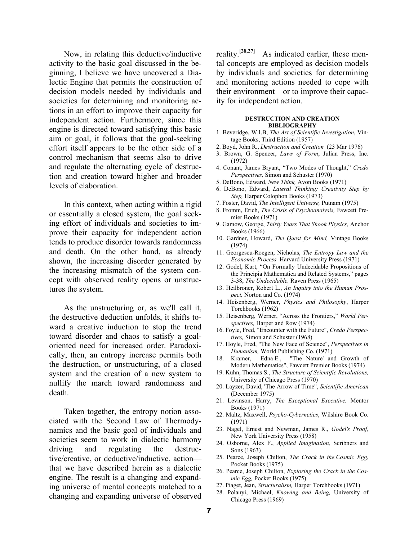Now, in relating this deductive/inductive activity to the basic goal discussed in the beginning, I believe we have uncovered a Dialectic Engine that permits the construction of decision models needed by individuals and societies for determining and monitoring actions in an effort to improve their capacity for independent action. Furthermore, since this engine is directed toward satisfying this basic aim or goal, it follows that the goal-seeking effort itself appears to be the other side of a control mechanism that seems also to drive and regulate the alternating cycle of destruction and creation toward higher and broader levels of elaboration.

In this context, when acting within a rigid or essentially a closed system, the goal seeking effort of individuals and societies to improve their capacity for independent action tends to produce disorder towards randomness and death. On the other hand, as already shown, the increasing disorder generated by the increasing mismatch of the system concept with observed reality opens or unstructures the system.

As the unstructuring or, as we'll call it, the destructive deduction unfolds, it shifts toward a creative induction to stop the trend toward disorder and chaos to satisfy a goaloriented need for increased order. Paradoxically, then, an entropy increase permits both the destruction, or unstructuring, of a closed system and the creation of a new system to nullify the march toward randomness and death.

Taken together, the entropy notion associated with the Second Law of Thermodynamics and the basic goal of individuals and societies seem to work in dialectic harmony driving and regulating the destructive/creative, or deductive/inductive, action that we have described herein as a dialectic engine. The result is a changing and expanding universe of mental concepts matched to a changing and expanding universe of observed reality.**[28,27]** As indicated earlier, these mental concepts are employed as decision models by individuals and societies for determining and monitoring actions needed to cope with their environment—or to improve their capacity for independent action.

#### **DESTRUCTION AND CREATION BIBLIOGRAPHY**

- 1. Beveridge, W.I.B, *The Art of Scientific Investigation*, Vintage Books, Third Edition (1957)
- 2. Boyd, John R., *Destruction and Creation* (23 Mar 1976)
- 3. Brown, G. Spencer, *Laws of Form*, Julian Press, Inc. (1972)
- 4. Conant, James Bryant, "Two Modes of Thought," *Credo Perspectives,* Simon and Schuster (1970)
- 5. DeBono, Edward, *New Think,* Avon Books (1971)
- 6. DeBono, Edward, *Lateral Thinking: Creativity Step by Step,* Harper Colophon Books (1973)
- 7. Foster, David, *The Intelligent Universe,* Putnam (1975)
- 8. Fromm, Erich, *The Crisis of Psychoanalysis,* Fawcett Premier Books (1971)
- 9. Gamow, George, *Thirty Years That Shook Physics,* Anchor Books (1966)
- 10. Gardner, Howard, *The Quest for Mind,* Vintage Books (1974)
- 11. Georgescu-Roegen, Nicholas, *The Entropy Law and the Economic Process,* Harvard University Press (1971)
- 12. Godel, Kurt, "On Formally Undecidable Propositions of the Principia Mathematica and Related Systems," pages 3-38, *The Undecidable,* Raven Press (1965)
- 13. Heilbroner, Robert L., *An Inquiry into the Human Prospect,* Norton and Co. (1974)
- 14. Heisenberg, Werner, *Physics and Philosophy*, Harper Torchbooks (1962)
- 15. Heisenberg, Werner, "Across the Frontiers," *World Perspectives,* Harper and Row (1974)
- 16. Foyle, Fred, "Encounter with the Future", *Credo Perspectives,* Simon and Schuster (1968)
- 17. Hoyle, Fred, "The New Face of Science", *Perspectives in Humanism,* World Publishing Co. (1971)
- 18. Kramer, Edna E., "The Nature' and Growth of Modern Mathematics", Fawcett Premier Books (1974)
- 19. Kuhn, Thomas S., *The Structure of Scientific Revolutions,* University of Chicago Press (1970)
- 20. Layzer, David, 'The Arrow of Time", *Scientific American* (December 1975)
- 21. Levinson, Harry, *The Exceptional Executive,* Mentor Books (1971)
- 22. Maltz, Maxwell, *Psycho-Cybernetics*, Wilshire Book Co. (1971)
- 23. Nagel, Ernest and Newman, James R., *Godel's Proof,* New York University Press (1958)
- 24. Osborne, Alex F., *Applied Imagination,* Scribners and Sons (1963)
- 25. Pearce, Joseph Chilton, *The Crack in the.Cosmic Egg*, Pocket Books (1975)
- 26. Pearce, Joseph Chilton, *Exploring the Crack in the Cosmic Egg,* Pocket Books (1975)
- 27. Piaget, Jean, *Structuralism,* Harper Torchbooks (1971)
- 28. Polanyi, Michael, *Knowing and Being,* University of Chicago Press (1969)